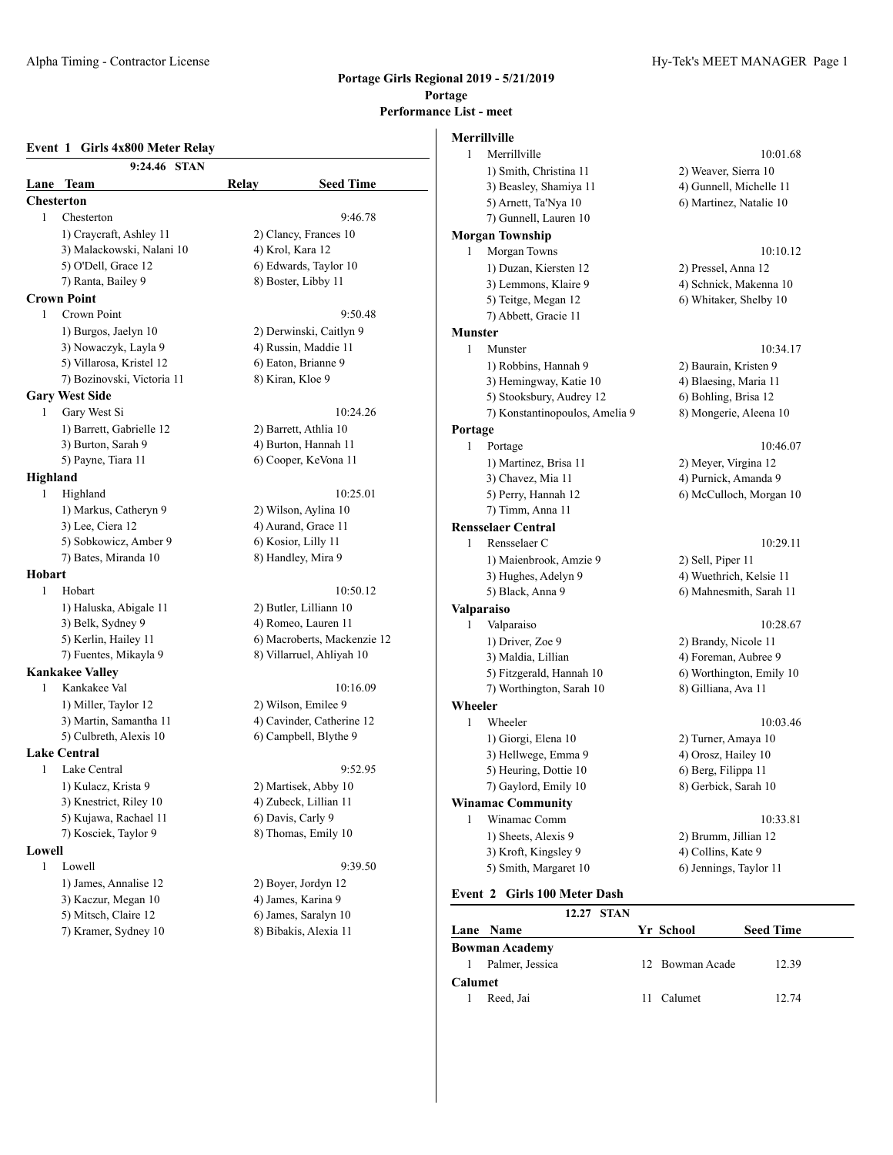#### Alpha Timing - Contractor License Hy-Tek's MEET MANAGER Page 1

**Event 1 Girls 4x800 Meter Relay 9:24.46 STAN Lane Team Relay Seed Time Chesterton** 1 Chesterton 9:46.78 1) Craycraft, Ashley 11 2) Clancy, Frances 10 3) Malackowski, Nalani 10 4) Krol, Kara 12 5) O'Dell, Grace 12 6) Edwards, Taylor 10 7) Ranta, Bailey 9 8) Boster, Libby 11 **Crown Point** 1 Crown Point 9:50.48 1) Burgos, Jaelyn 10 2) Derwinski, Caitlyn 9 3) Nowaczyk, Layla 9 4) Russin, Maddie 11 5) Villarosa, Kristel 12 6) Eaton, Brianne 9 7) Bozinovski, Victoria 11 8) Kiran, Kloe 9 **Gary West Side** 1 Gary West Si 10:24.26 1) Barrett, Gabrielle 12 2) Barrett, Athlia 10 3) Burton, Sarah 9 4) Burton, Hannah 11 5) Payne, Tiara 11 6) Cooper, KeVona 11 **Highland** 1 Highland 10:25.01 1) Markus, Catheryn 9 2) Wilson, Aylina 10 3) Lee, Ciera 12 4) Aurand, Grace 11 5) Sobkowicz, Amber 9 6) Kosior, Lilly 11 7) Bates, Miranda 10 8) Handley, Mira 9 **Hobart** 1 Hobart 10:50.12 1) Haluska, Abigale 11 2) Butler, Lilliann 10 3) Belk, Sydney 9 4) Romeo, Lauren 11 5) Kerlin, Hailey 11 6) Macroberts, Mackenzie 12 7) Fuentes, Mikayla 9 8) Villarruel, Ahliyah 10 **Kankakee Valley** 1 Kankakee Val 10:16.09 1) Miller, Taylor 12 2) Wilson, Emilee 9 3) Martin, Samantha 11 4) Cavinder, Catherine 12 5) Culbreth, Alexis 10 6) Campbell, Blythe 9 **Lake Central** 1 Lake Central 9:52.95 1) Kulacz, Krista 9 2) Martisek, Abby 10 3) Knestrict, Riley 10 4) Zubeck, Lillian 11 5) Kujawa, Rachael 11 6) Davis, Carly 9 7) Kosciek, Taylor 9 8) Thomas, Emily 10 **Lowell** 1 Lowell 9:39.50 1) James, Annalise 12 2) Boyer, Jordyn 12 3) Kaczur, Megan 10 4) James, Karina 9 5) Mitsch, Claire 12 6) James, Saralyn 10 7) Kramer, Sydney 10 8) Bibakis, Alexia 11

|                | Merrillville                   |                          |
|----------------|--------------------------------|--------------------------|
| 1              | Merrillville                   | 10:01.68                 |
|                | 1) Smith, Christina 11         | 2) Weaver, Sierra 10     |
|                | 3) Beasley, Shamiya 11         | 4) Gunnell, Michelle 11  |
|                | 5) Arnett, Ta'Nya 10           | 6) Martinez, Natalie 10  |
|                | 7) Gunnell, Lauren 10          |                          |
|                | <b>Morgan Township</b>         |                          |
| 1              | Morgan Towns                   | 10:10.12                 |
|                | 1) Duzan, Kiersten 12          | 2) Pressel, Anna 12      |
|                | 3) Lemmons, Klaire 9           | 4) Schnick, Makenna 10   |
|                | 5) Teitge, Megan 12            | 6) Whitaker, Shelby 10   |
|                | 7) Abbett, Gracie 11           |                          |
| <b>Munster</b> |                                |                          |
| 1              | Munster                        | 10:34.17                 |
|                | 1) Robbins, Hannah 9           | 2) Baurain, Kristen 9    |
|                | 3) Hemingway, Katie 10         | 4) Blaesing, Maria 11    |
|                | 5) Stooksbury, Audrey 12       | 6) Bohling, Brisa 12     |
|                | 7) Konstantinopoulos, Amelia 9 | 8) Mongerie, Aleena 10   |
| Portage        |                                |                          |
| 1              | Portage                        | 10:46.07                 |
|                | 1) Martinez, Brisa 11          | 2) Meyer, Virgina 12     |
|                | 3) Chavez, Mia 11              | 4) Purnick, Amanda 9     |
|                | 5) Perry, Hannah 12            | 6) McCulloch, Morgan 10  |
|                | 7) Timm, Anna 11               |                          |
|                | <b>Rensselaer Central</b>      |                          |
| 1              | Rensselaer C                   | 10:29.11                 |
|                | 1) Maienbrook, Amzie 9         | 2) Sell, Piper 11        |
|                | 3) Hughes, Adelyn 9            | 4) Wuethrich, Kelsie 11  |
|                | 5) Black, Anna 9               | 6) Mahnesmith, Sarah 11  |
|                | <b>Valparaiso</b>              |                          |
| 1              | Valparaiso                     | 10:28.67                 |
|                | 1) Driver, Zoe 9               | 2) Brandy, Nicole 11     |
|                | 3) Maldia, Lillian             | 4) Foreman, Aubree 9     |
|                | 5) Fitzgerald, Hannah 10       | 6) Worthington, Emily 10 |
|                | 7) Worthington, Sarah 10       | 8) Gilliana, Ava 11      |
| Wheeler        |                                |                          |
| 1              | Wheeler                        | 10:03.46                 |
|                | 1) Giorgi, Elena 10            | 2) Turner, Amaya 10      |
|                | 3) Hellwege, Emma 9            | 4) Orosz, Hailey 10      |
|                | 5) Heuring, Dottie 10          | 6) Berg, Filippa 11      |
|                | 7) Gaylord, Emily 10           | 8) Gerbick, Sarah 10     |
|                | <b>Winamac Community</b>       |                          |
| 1              | Winamac Comm                   | 10:33.81                 |
|                | 1) Sheets, Alexis 9            | 2) Brumm, Jillian 12     |
|                | 3) Kroft, Kingsley 9           | 4) Collins, Kate 9       |
|                | 5) Smith, Margaret 10          | 6) Jennings, Taylor 11   |

#### **Event 2 Girls 100 Meter Dash**

|                |                       | 12.27 STAN |                 |                  |  |
|----------------|-----------------------|------------|-----------------|------------------|--|
|                | Lane Name             |            | Yr School       | <b>Seed Time</b> |  |
|                | <b>Bowman Academy</b> |            |                 |                  |  |
|                | Palmer, Jessica       |            | 12 Bowman Acade | 12.39            |  |
| <b>Calumet</b> |                       |            |                 |                  |  |
|                | Reed, Jai             |            | Calumet         | 12.74            |  |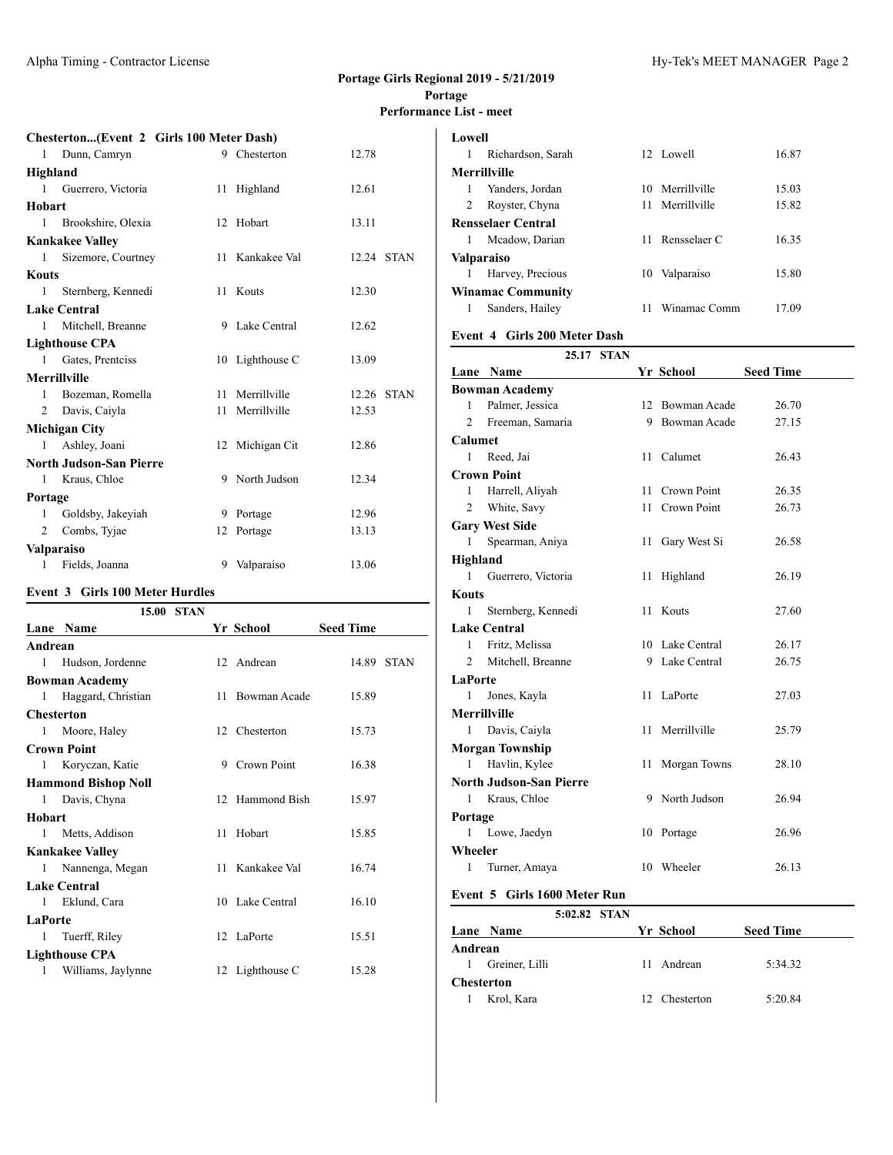# **Chesterton...(Event 2 Girls 100 Meter Dash)**

| 1            | Dunn, Camryn                   | 9 Chesterton    | 12.78      |  |
|--------------|--------------------------------|-----------------|------------|--|
| Highland     |                                |                 |            |  |
| 1            | Guerrero, Victoria             | 11 Highland     | 12.61      |  |
| Hobart       |                                |                 |            |  |
| $\mathbf{1}$ | Brookshire, Olexia             | 12 Hobart       | 13.11      |  |
|              | <b>Kankakee Valley</b>         |                 |            |  |
| 1            | Sizemore, Courtney             | 11 Kankakee Val | 12.24 STAN |  |
| Kouts        |                                |                 |            |  |
| 1            | Sternberg, Kennedi             | 11 Kouts        | 12.30      |  |
|              | <b>Lake Central</b>            |                 |            |  |
| $\mathbf{1}$ | Mitchell, Breanne              | 9 Lake Central  | 12.62      |  |
|              | <b>Lighthouse CPA</b>          |                 |            |  |
| $1 \quad$    | Gates, Prentciss               | 10 Lighthouse C | 13.09      |  |
|              | <b>Merrillville</b>            |                 |            |  |
| $\mathbf{1}$ | Bozeman, Romella               | 11 Merrillville | 12.26 STAN |  |
| 2            | Davis, Caiyla                  | 11 Merrillville | 12.53      |  |
|              | <b>Michigan City</b>           |                 |            |  |
| $\mathbf{1}$ | Ashley, Joani                  | 12 Michigan Cit | 12.86      |  |
|              | <b>North Judson-San Pierre</b> |                 |            |  |
| 1            | Kraus, Chloe                   | 9 North Judson  | 12.34      |  |
| Portage      |                                |                 |            |  |
| 1            | Goldsby, Jakeyiah              | 9 Portage       | 12.96      |  |
| 2            | Combs, Tyjae                   | 12 Portage      | 13.13      |  |
|              | Valparaiso                     |                 |            |  |
| 1            | Fields, Joanna                 | 9 Valparaiso    | 13.06      |  |

#### **Event 3 Girls 100 Meter Hurdles**

| 15.00<br><b>STAN</b> |                            |    |                 |                  |            |
|----------------------|----------------------------|----|-----------------|------------------|------------|
|                      | Lane Name                  |    | Yr School       | <b>Seed Time</b> |            |
| Andrean              |                            |    |                 |                  |            |
| 1                    | Hudson, Jordenne           |    | 12 Andrean      |                  | 14.89 STAN |
|                      | <b>Bowman Academy</b>      |    |                 |                  |            |
| 1                    | Haggard, Christian         | 11 | Bowman Acade    | 15.89            |            |
| Chesterton           |                            |    |                 |                  |            |
| 1                    | Moore, Haley               |    | 12 Chesterton   | 15.73            |            |
|                      | Crown Point                |    |                 |                  |            |
| 1                    | Koryczan, Katie            |    | 9 Crown Point   | 16.38            |            |
|                      | <b>Hammond Bishop Noll</b> |    |                 |                  |            |
| 1                    | Davis, Chyna               |    | 12 Hammond Bish | 15.97            |            |
| Hobart               |                            |    |                 |                  |            |
| 1                    | Metts, Addison             | 11 | Hobart          | 15.85            |            |
|                      | <b>Kankakee Valley</b>     |    |                 |                  |            |
| 1                    | Nannenga, Megan            | 11 | Kankakee Val    | 16.74            |            |
|                      | <b>Lake Central</b>        |    |                 |                  |            |
| 1                    | Eklund, Cara               |    | 10 Lake Central | 16.10            |            |
| <b>LaPorte</b>       |                            |    |                 |                  |            |
| 1                    | Tuerff, Riley              |    | 12 LaPorte      | 15.51            |            |
|                      | <b>Lighthouse CPA</b>      |    |                 |                  |            |
| 1                    | Williams, Jaylynne         |    | 12 Lighthouse C | 15.28            |            |
|                      |                            |    |                 |                  |            |

|                          | <b>Lowell</b>             |    |                 |       |  |  |  |
|--------------------------|---------------------------|----|-----------------|-------|--|--|--|
| 1                        | Richardson, Sarah         |    | 12 Lowell       | 16.87 |  |  |  |
|                          | <b>Merrillville</b>       |    |                 |       |  |  |  |
| 1                        | Yanders, Jordan           |    | 10 Merrillville | 15.03 |  |  |  |
| 2                        | Royster, Chyna            | 11 | Merrillville    | 15.82 |  |  |  |
|                          | <b>Rensselaer Central</b> |    |                 |       |  |  |  |
| 1                        | Mcadow, Darian            | 11 | Rensselaer C    | 16.35 |  |  |  |
| Valparaiso               |                           |    |                 |       |  |  |  |
| 1                        | Harvey, Precious          | 10 | Valparaiso      | 15.80 |  |  |  |
| <b>Winamac Community</b> |                           |    |                 |       |  |  |  |
| 1                        | Sanders, Hailey           | 11 | Winamac Comm    | 17.09 |  |  |  |
|                          |                           |    |                 |       |  |  |  |

# **Event 4 Girls 200 Meter Dash**

|                     |                                | 25.17 STAN |     |                 |                  |
|---------------------|--------------------------------|------------|-----|-----------------|------------------|
|                     | Lane Name                      |            |     | Yr School       | <b>Seed Time</b> |
|                     | <b>Bowman Academy</b>          |            |     |                 |                  |
| 1                   | Palmer, Jessica                |            | 12  | Bowman Acade    | 26.70            |
| $\overline{2}$      | Freeman, Samaria               |            | 9   | Bowman Acade    | 27.15            |
| Calumet             |                                |            |     |                 |                  |
| 1                   | Reed, Jai                      |            | 11  | Calumet         | 26.43            |
|                     | <b>Crown Point</b>             |            |     |                 |                  |
| 1                   | Harrell, Aliyah                |            | 11. | Crown Point     | 26.35            |
| $\overline{2}$      | White, Savy                    |            | 11  | Crown Point     | 26.73            |
|                     | <b>Gary West Side</b>          |            |     |                 |                  |
| 1                   | Spearman, Aniya                |            | 11  | Gary West Si    | 26.58            |
| Highland            |                                |            |     |                 |                  |
| 1                   | Guerrero, Victoria             |            | 11  | Highland        | 26.19            |
| <b>Kouts</b>        |                                |            |     |                 |                  |
| 1                   | Sternberg, Kennedi             |            | 11  | Kouts           | 27.60            |
|                     | <b>Lake Central</b>            |            |     |                 |                  |
| 1                   | Fritz, Melissa                 |            |     | 10 Lake Central | 26.17            |
| 2                   | Mitchell, Breanne              |            |     | 9 Lake Central  | 26.75            |
| <b>LaPorte</b>      |                                |            |     |                 |                  |
| 1                   | Jones, Kayla                   |            | 11  | LaPorte         | 27.03            |
| <b>Merrillville</b> |                                |            |     |                 |                  |
| 1                   | Davis, Caiyla                  |            | 11  | Merrillville    | 25.79            |
|                     | <b>Morgan Township</b>         |            |     |                 |                  |
| 1                   | Havlin, Kylee                  |            | 11  | Morgan Towns    | 28.10            |
|                     | <b>North Judson-San Pierre</b> |            |     |                 |                  |
| 1                   | Kraus, Chloe                   |            |     | 9 North Judson  | 26.94            |
| Portage             |                                |            |     |                 |                  |
| 1                   | Lowe, Jaedyn                   |            |     | 10 Portage      | 26.96            |
| Wheeler             |                                |            |     |                 |                  |
| 1                   | Turner, Amaya                  |            |     | 10 Wheeler      | 26.13            |

## **Event 5 Girls 1600 Meter Run**

| <b>Lane Name</b> |  |              | <b>Seed Time</b>                         |  |
|------------------|--|--------------|------------------------------------------|--|
| Andrean          |  |              |                                          |  |
| Greiner, Lilli   |  |              | 5:34.32                                  |  |
| Chesterton       |  |              |                                          |  |
| Krol, Kara       |  |              | 5:20.84                                  |  |
|                  |  | 5:02.82 STAN | Yr School<br>11 Andrean<br>12 Chesterton |  |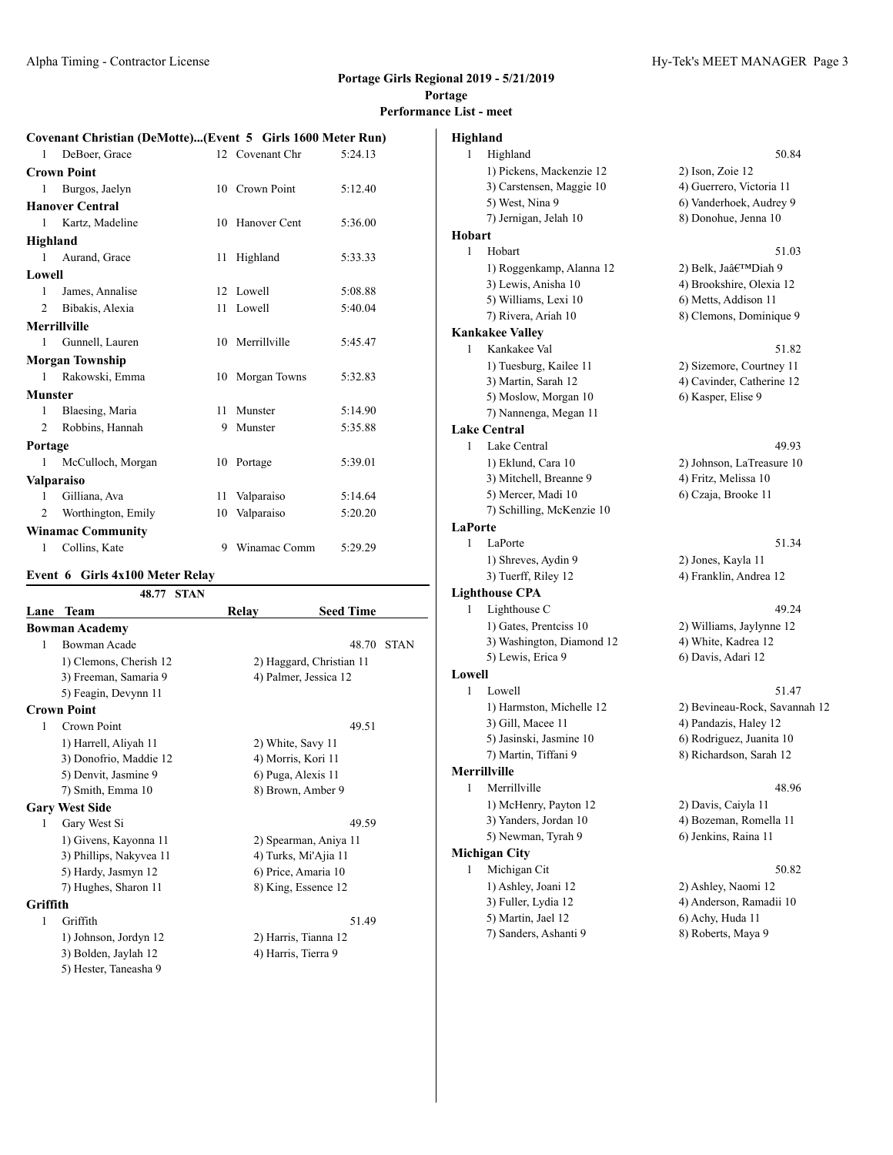### **Covenant Christian (DeMotte)...(Event 5 Girls 1600 Meter Run)**

| 1              | DeBoer, Grace            |    | 12 Covenant Chr | 5:24.13 |
|----------------|--------------------------|----|-----------------|---------|
|                | <b>Crown Point</b>       |    |                 |         |
| 1              | Burgos, Jaelyn           | 10 | Crown Point     | 5:12.40 |
|                | <b>Hanover Central</b>   |    |                 |         |
| $\mathbf{1}$   | Kartz, Madeline          |    | 10 Hanover Cent | 5:36.00 |
| Highland       |                          |    |                 |         |
| 1              | Aurand, Grace            | 11 | Highland        | 5:33.33 |
| Lowell         |                          |    |                 |         |
| $\mathbf{1}$   | James, Annalise          |    | 12 Lowell       | 5:08.88 |
| $\mathfrak{D}$ | Bibakis, Alexia          |    | 11 Lowell       | 5:40.04 |
|                | <b>Merrillville</b>      |    |                 |         |
| 1              | Gunnell, Lauren          |    | 10 Merrillville | 5:45.47 |
|                | <b>Morgan Township</b>   |    |                 |         |
| $\mathbf{1}$   | Rakowski, Emma           | 10 | Morgan Towns    | 5:32.83 |
| <b>Munster</b> |                          |    |                 |         |
| 1              | Blaesing, Maria          |    | 11 Munster      | 5:14.90 |
| 2              | Robbins, Hannah          |    | 9 Munster       | 5:35.88 |
| Portage        |                          |    |                 |         |
| 1              | McCulloch, Morgan        |    | 10 Portage      | 5:39.01 |
|                | <b>Valparaiso</b>        |    |                 |         |
| $\mathbf{1}$   | Gilliana, Ava            |    | 11 Valparaiso   | 5:14.64 |
| 2              | Worthington, Emily       |    | 10 Valparaiso   | 5:20.20 |
|                | <b>Winamac Community</b> |    |                 |         |
| 1              | Collins, Kate            |    | 9 Winamac Comm  | 5:29.29 |
|                |                          |    |                 |         |

#### **Event 6 Girls 4x100 Meter Relay**

|          | 48.77<br><b>STAN</b>    |       |                          |
|----------|-------------------------|-------|--------------------------|
| Lane     | <b>Team</b>             | Relay | <b>Seed Time</b>         |
|          | <b>Bowman Academy</b>   |       |                          |
| 1        | Bowman Acade            |       | 48.70<br><b>STAN</b>     |
|          | 1) Clemons, Cherish 12  |       | 2) Haggard, Christian 11 |
|          | 3) Freeman, Samaria 9   |       | 4) Palmer, Jessica 12    |
|          | 5) Feagin, Devynn 11    |       |                          |
|          | <b>Crown Point</b>      |       |                          |
| 1        | Crown Point             |       | 49.51                    |
|          | 1) Harrell, Aliyah 11   |       | 2) White, Savy 11        |
|          | 3) Donofrio, Maddie 12  |       | 4) Morris, Kori 11       |
|          | 5) Denvit, Jasmine 9    |       | 6) Puga, Alexis 11       |
|          | 7) Smith, Emma 10       |       | 8) Brown, Amber 9        |
|          | <b>Gary West Side</b>   |       |                          |
| 1        | Gary West Si            |       | 49.59                    |
|          | 1) Givens, Kayonna 11   |       | 2) Spearman, Aniya 11    |
|          | 3) Phillips, Nakyvea 11 |       | 4) Turks, Mi'Ajia 11     |
|          | 5) Hardy, Jasmyn 12     |       | 6) Price, Amaria 10      |
|          | 7) Hughes, Sharon 11    |       | 8) King, Essence 12      |
| Griffith |                         |       |                          |
| 1        | Griffith                |       | 51.49                    |
|          | 1) Johnson, Jordyn 12   |       | 2) Harris, Tianna 12     |
|          | 3) Bolden, Jaylah 12    |       | 4) Harris, Tierra 9      |
|          | 5) Hester, Taneasha 9   |       |                          |

|          | e List - meet             |                               |
|----------|---------------------------|-------------------------------|
| Highland |                           |                               |
| 1        | Highland                  | 50.84                         |
|          | 1) Pickens, Mackenzie 12  | 2) Ison, Zoie 12              |
|          | 3) Carstensen, Maggie 10  | 4) Guerrero, Victoria 11      |
|          | 5) West, Nina 9           | 6) Vanderhoek, Audrey 9       |
|          | 7) Jernigan, Jelah 10     | 8) Donohue, Jenna 10          |
| Hobart   |                           |                               |
| 1        | Hobart                    | 51.03                         |
|          | 1) Roggenkamp, Alanna 12  | 2) Belk, Ja'Diah 9            |
|          | 3) Lewis, Anisha 10       | 4) Brookshire, Olexia 12      |
|          | 5) Williams, Lexi 10      | 6) Metts, Addison 11          |
|          | 7) Rivera, Ariah 10       | 8) Clemons, Dominique 9       |
|          | <b>Kankakee Valley</b>    |                               |
| 1        | Kankakee Val              | 51.82                         |
|          | 1) Tuesburg, Kailee 11    | 2) Sizemore, Courtney 11      |
|          | 3) Martin, Sarah 12       | 4) Cavinder, Catherine 12     |
|          | 5) Moslow, Morgan 10      | 6) Kasper, Elise 9            |
|          | 7) Nannenga, Megan 11     |                               |
|          | <b>Lake Central</b>       |                               |
| 1        | Lake Central              | 49.93                         |
|          | 1) Eklund, Cara 10        | 2) Johnson, LaTreasure 10     |
|          | 3) Mitchell, Breanne 9    | 4) Fritz, Melissa 10          |
|          | 5) Mercer, Madi 10        | 6) Czaja, Brooke 11           |
|          | 7) Schilling, McKenzie 10 |                               |
| LaPorte  |                           |                               |
| 1        | LaPorte                   | 51.34                         |
|          | 1) Shreves, Aydin 9       | 2) Jones, Kayla 11            |
|          | 3) Tuerff, Riley 12       | 4) Franklin, Andrea 12        |
|          | <b>Lighthouse CPA</b>     |                               |
| 1        | Lighthouse C              | 49.24                         |
|          | 1) Gates, Prentciss 10    | 2) Williams, Jaylynne 12      |
|          | 3) Washington, Diamond 12 | 4) White, Kadrea 12           |
|          | 5) Lewis, Erica 9         | 6) Davis, Adari 12            |
| Lowell   |                           |                               |
| 1        | Lowell                    | 51.47                         |
|          | 1) Harmston, Michelle 12  | 2) Bevineau-Rock, Savannah 12 |
|          | 3) Gill, Macee 11         | 4) Pandazis, Haley 12         |
|          | 5) Jasinski, Jasmine 10   | 6) Rodriguez, Juanita 10      |
|          | 7) Martin, Tiffani 9      | 8) Richardson, Sarah 12       |
|          | <b>Merrillville</b>       |                               |
| 1        | Merrillville              | 48.96                         |
|          | 1) McHenry, Payton 12     | 2) Davis, Caiyla 11           |
|          | 3) Yanders, Jordan 10     | 4) Bozeman, Romella 11        |
|          | 5) Newman, Tyrah 9        | 6) Jenkins, Raina 11          |
|          | <b>Michigan City</b>      |                               |
| 1        | Michigan Cit              | 50.82                         |
|          | 1) Ashley, Joani 12       | 2) Ashley, Naomi 12           |
|          | 3) Fuller, Lydia 12       | 4) Anderson, Ramadii 10       |
|          | 5) Martin, Jael 12        | 6) Achy, Huda 11              |
|          | 7) Sanders, Ashanti 9     | 8) Roberts, Maya 9            |
|          |                           |                               |
|          |                           |                               |
|          |                           |                               |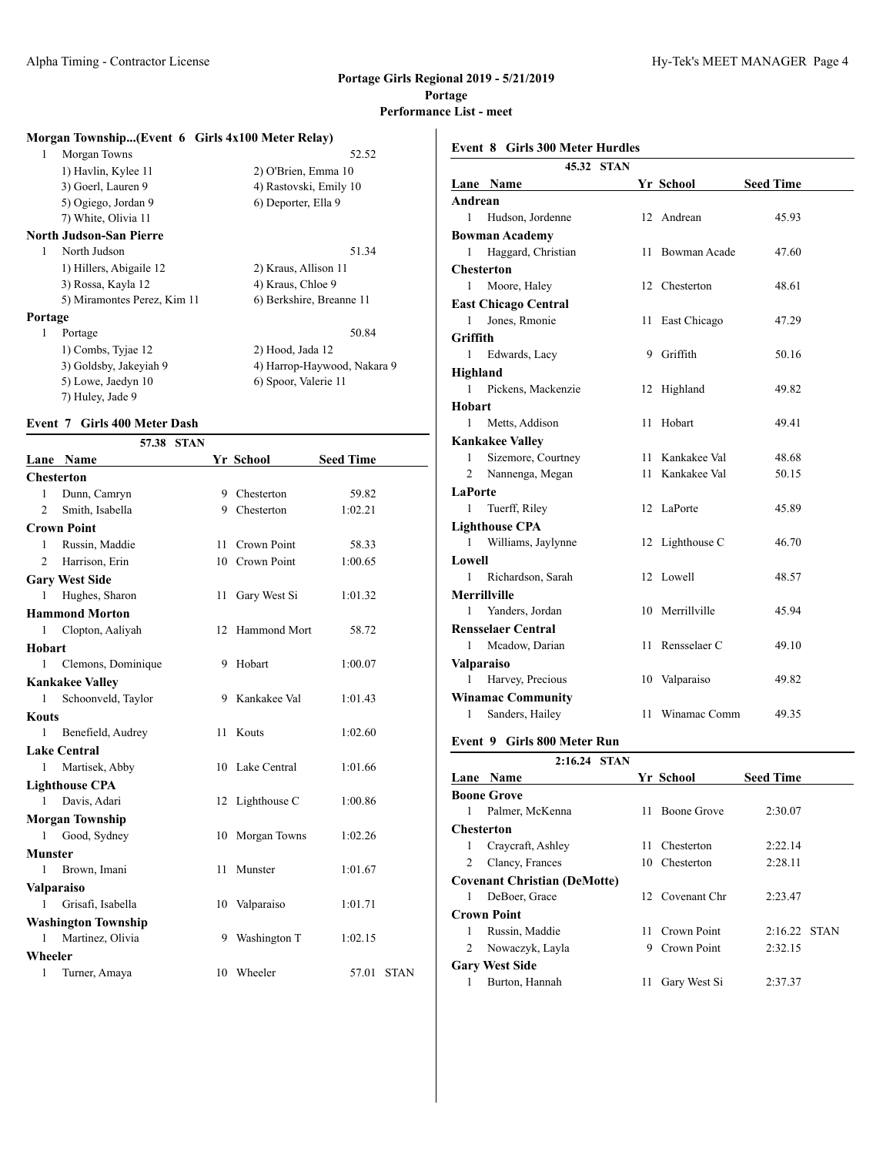| Morgan Township(Event 6 Girls 4x100 Meter Relay) |                             |
|--------------------------------------------------|-----------------------------|
| Morgan Towns<br>1                                | 52.52                       |
| 1) Havlin, Kylee 11                              | 2) O'Brien, Emma 10         |
| 3) Goerl, Lauren 9                               | 4) Rastovski, Emily 10      |
| 5) Ogiego, Jordan 9                              | 6) Deporter, Ella 9         |
| 7) White, Olivia 11                              |                             |
| <b>North Judson-San Pierre</b>                   |                             |
| North Judson<br>1                                | 51.34                       |
| 1) Hillers, Abigaile 12                          | 2) Kraus, Allison 11        |
| 3) Rossa, Kayla 12                               | 4) Kraus, Chloe 9           |
| 5) Miramontes Perez, Kim 11                      | 6) Berkshire, Breanne 11    |
| <b>Portage</b>                                   |                             |
| 1<br>Portage                                     | 50.84                       |
| 1) Combs, Tyjae 12                               | 2) Hood, Jada 12            |
| 3) Goldsby, Jakeyiah 9                           | 4) Harrop-Haywood, Nakara 9 |
| 5) Lowe, Jaedyn 10                               | 6) Spoor, Valerie 11        |

# 7) Huley, Jade 9

#### **Event 7 Girls 400 Meter Dash**

|                   |                            | 57.38 STAN |    |                     |                  |             |
|-------------------|----------------------------|------------|----|---------------------|------------------|-------------|
|                   | Lane Name                  |            |    | Yr School           | <b>Seed Time</b> |             |
| <b>Chesterton</b> |                            |            |    |                     |                  |             |
| 1                 | Dunn, Camryn               |            |    | 9 Chesterton        | 59.82            |             |
| 2                 | Smith, Isabella            |            |    | 9 Chesterton        | 1:02.21          |             |
|                   | <b>Crown Point</b>         |            |    |                     |                  |             |
| 1                 | Russin, Maddie             |            | 11 | Crown Point         | 58.33            |             |
| 2                 | Harrison, Erin             |            |    | 10 Crown Point      | 1:00.65          |             |
|                   | <b>Gary West Side</b>      |            |    |                     |                  |             |
| 1                 | Hughes, Sharon             |            | 11 | Gary West Si        | 1:01.32          |             |
|                   | <b>Hammond Morton</b>      |            |    |                     |                  |             |
| 1                 | Clopton, Aaliyah           |            | 12 | <b>Hammond Mort</b> | 58.72            |             |
| Hobart            |                            |            |    |                     |                  |             |
| 1                 | Clemons, Dominique         |            | 9  | Hobart              | 1:00.07          |             |
|                   | <b>Kankakee Valley</b>     |            |    |                     |                  |             |
| 1                 | Schoonveld, Taylor         |            | 9  | Kankakee Val        | 1:01.43          |             |
| Kouts             |                            |            |    |                     |                  |             |
| 1                 | Benefield, Audrey          |            | 11 | Kouts               | 1:02.60          |             |
|                   | <b>Lake Central</b>        |            |    |                     |                  |             |
| 1                 | Martisek, Abby             |            |    | 10 Lake Central     | 1:01.66          |             |
|                   | <b>Lighthouse CPA</b>      |            |    |                     |                  |             |
| 1                 | Davis, Adari               |            | 12 | Lighthouse C        | 1:00.86          |             |
|                   | <b>Morgan Township</b>     |            |    |                     |                  |             |
| 1                 | Good, Sydney               |            | 10 | Morgan Towns        | 1:02.26          |             |
| Munster           |                            |            |    |                     |                  |             |
| 1                 | Brown, Imani               |            | 11 | Munster             | 1:01.67          |             |
| <b>Valparaiso</b> |                            |            |    |                     |                  |             |
| 1                 | Grisafi, Isabella          |            | 10 | Valparaiso          | 1:01.71          |             |
|                   | <b>Washington Township</b> |            |    |                     |                  |             |
| 1                 | Martinez, Olivia           |            | 9  | Washington T        | 1:02.15          |             |
| Wheeler           |                            |            |    |                     |                  |             |
| 1                 | Turner, Amaya              |            |    | 10 Wheeler          | 57.01            | <b>STAN</b> |
|                   |                            |            |    |                     |                  |             |

# **Event 8 Girls 300 Meter Hurdles**

|                     |                             | 45.32 STAN |    |                 |                  |
|---------------------|-----------------------------|------------|----|-----------------|------------------|
|                     | Lane Name                   |            |    | Yr School       | <b>Seed Time</b> |
| Andrean             |                             |            |    |                 |                  |
| 1                   | Hudson, Jordenne            |            |    | 12 Andrean      | 45.93            |
|                     | <b>Bowman Academy</b>       |            |    |                 |                  |
| 1                   | Haggard, Christian          |            |    | 11 Bowman Acade | 47.60            |
| <b>Chesterton</b>   |                             |            |    |                 |                  |
| 1                   | Moore, Haley                |            |    | 12 Chesterton   | 48.61            |
|                     | <b>East Chicago Central</b> |            |    |                 |                  |
| 1                   | Jones, Rmonie               |            | 11 | East Chicago    | 47.29            |
| Griffith            |                             |            |    |                 |                  |
| 1                   | Edwards, Lacy               |            | 9  | Griffith        | 50.16            |
| Highland            |                             |            |    |                 |                  |
| 1                   | Pickens, Mackenzie          |            |    | 12 Highland     | 49.82            |
| Hobart              |                             |            |    |                 |                  |
| 1                   | Metts, Addison              |            | 11 | Hobart          | 49.41            |
|                     | <b>Kankakee Valley</b>      |            |    |                 |                  |
| 1                   | Sizemore, Courtney          |            | 11 | Kankakee Val    | 48.68            |
| $\overline{2}$      | Nannenga, Megan             |            | 11 | Kankakee Val    | 50.15            |
| LaPorte             |                             |            |    |                 |                  |
| 1                   | Tuerff, Riley               |            |    | 12 LaPorte      | 45.89            |
|                     | <b>Lighthouse CPA</b>       |            |    |                 |                  |
| 1                   | Williams, Jaylynne          |            |    | 12 Lighthouse C | 46.70            |
| Lowell              |                             |            |    |                 |                  |
| 1                   | Richardson, Sarah           |            |    | 12 Lowell       | 48.57            |
| <b>Merrillville</b> |                             |            |    |                 |                  |
| 1                   | Yanders, Jordan             |            |    | 10 Merrillville | 45.94            |
|                     | <b>Rensselaer Central</b>   |            |    |                 |                  |
| 1                   | Mcadow, Darian              |            |    | 11 Rensselaer C | 49.10            |
| <b>Valparaiso</b>   |                             |            |    |                 |                  |
| 1                   | Harvey, Precious            |            |    | 10 Valparaiso   | 49.82            |
|                     | <b>Winamac Community</b>    |            |    |                 |                  |
| 1                   | Sanders, Hailey             |            | 11 | Winamac Comm    | 49.35            |
|                     | Event 9 Girls 800 Meter Run |            |    |                 |                  |

# **2:16.24 STAN**

|   | 2.IV.24<br>$51$ $A1$                |     |                    |                  |  |
|---|-------------------------------------|-----|--------------------|------------------|--|
|   | Lane Name                           |     | Yr School          | <b>Seed Time</b> |  |
|   | <b>Boone Grove</b>                  |     |                    |                  |  |
| 1 | Palmer, McKenna                     | 11  | <b>Boone Grove</b> | 2:30.07          |  |
|   | <b>Chesterton</b>                   |     |                    |                  |  |
| 1 | Craycraft, Ashley                   | 11. | Chesterton         | 2:22.14          |  |
| 2 | Clancy, Frances                     | 10  | Chesterton         | 2:28.11          |  |
|   | <b>Covenant Christian (DeMotte)</b> |     |                    |                  |  |
| 1 | DeBoer, Grace                       |     | 12 Covenant Chr    | 2:23.47          |  |
|   | <b>Crown Point</b>                  |     |                    |                  |  |
| 1 | Russin, Maddie                      |     | 11 Crown Point     | $2:16.22$ STAN   |  |
| 2 | Nowaczyk, Layla                     | 9   | Crown Point        | 2:32.15          |  |
|   | <b>Gary West Side</b>               |     |                    |                  |  |
|   | Burton, Hannah                      | 11  | Gary West Si       | 2:37.37          |  |
|   |                                     |     |                    |                  |  |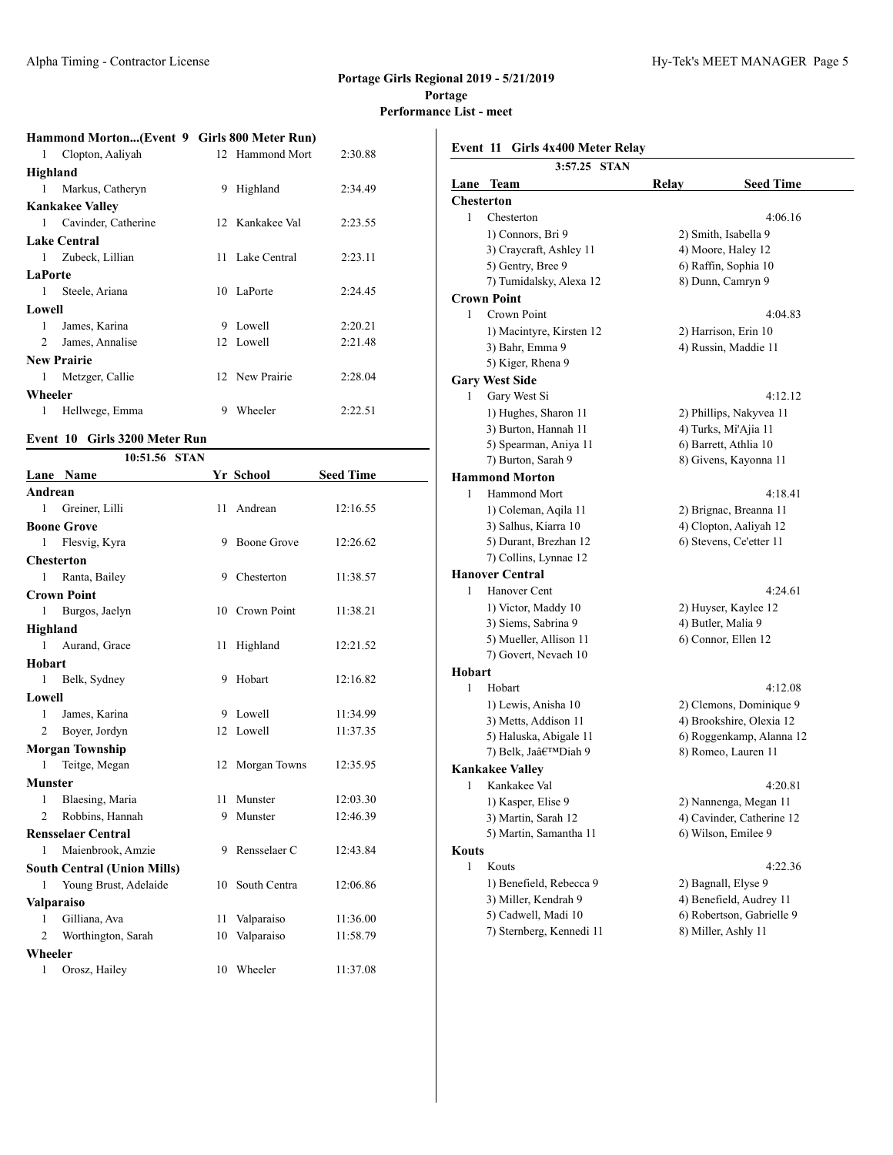### **Hammond Morton...(Event 9 Girls 800 Meter Run)**

|              | $\frac{1}{2}$          |    |                 |         |
|--------------|------------------------|----|-----------------|---------|
| $\mathbf{1}$ | Clopton, Aaliyah       |    | 12 Hammond Mort | 2:30.88 |
| Highland     |                        |    |                 |         |
| 1            | Markus, Catheryn       | 9. | Highland        | 2:34.49 |
|              | <b>Kankakee Valley</b> |    |                 |         |
|              | 1 Cavinder, Catherine  |    | 12 Kankakee Val | 2:23.55 |
|              | <b>Lake Central</b>    |    |                 |         |
| $1 \quad$    | Zubeck, Lillian        |    | 11 Lake Central | 2:23.11 |
| LaPorte      |                        |    |                 |         |
| $1 \quad$    | Steele, Ariana         |    | 10 LaPorte      | 2:24.45 |
| Lowell       |                        |    |                 |         |
| 1            | James, Karina          | 9  | Lowell          | 2:20.21 |
| $2^{\circ}$  | James, Annalise        |    | 12 Lowell       | 2:21.48 |
|              | <b>New Prairie</b>     |    |                 |         |
| $\mathbf{1}$ | Metzger, Callie        |    | 12 New Prairie  | 2:28.04 |
| Wheeler      |                        |    |                 |         |
| 1            | Hellwege, Emma         | 9  | Wheeler         | 2:22.51 |
|              |                        |    |                 |         |

#### **Event 10 Girls 3200 Meter Run**

|                   | 10:51.56 STAN                      |    |              |                  |
|-------------------|------------------------------------|----|--------------|------------------|
|                   | Lane Name                          |    | Yr School    | <b>Seed Time</b> |
| Andrean           |                                    |    |              |                  |
| 1                 | Greiner, Lilli                     | 11 | Andrean      | 12:16.55         |
|                   | <b>Boone Grove</b>                 |    |              |                  |
| 1                 | Flesvig, Kyra                      | 9  | Boone Grove  | 12:26.62         |
|                   | <b>Chesterton</b>                  |    |              |                  |
| 1                 | Ranta, Bailey                      | 9  | Chesterton   | 11:38.57         |
|                   | <b>Crown Point</b>                 |    |              |                  |
| 1                 | Burgos, Jaelyn                     | 10 | Crown Point  | 11:38.21         |
| Highland          |                                    |    |              |                  |
| 1                 | Aurand, Grace                      | 11 | Highland     | 12:21.52         |
| Hobart            |                                    |    |              |                  |
| 1                 | Belk, Sydney                       | 9  | Hobart       | 12:16.82         |
| Lowell            |                                    |    |              |                  |
| 1                 | James, Karina                      | 9  | Lowell       | 11:34.99         |
| $\overline{c}$    | Boyer, Jordyn                      | 12 | Lowell       | 11:37.35         |
|                   | <b>Morgan Township</b>             |    |              |                  |
| 1                 | Teitge, Megan                      | 12 | Morgan Towns | 12:35.95         |
| <b>Munster</b>    |                                    |    |              |                  |
| 1                 | Blaesing, Maria                    | 11 | Munster      | 12:03.30         |
| 2                 | Robbins, Hannah                    | 9  | Munster      | 12:46.39         |
|                   | <b>Rensselaer Central</b>          |    |              |                  |
| 1                 | Maienbrook, Amzie                  | 9  | Rensselaer C | 12:43.84         |
|                   | <b>South Central (Union Mills)</b> |    |              |                  |
| $\mathbf{1}$      | Young Brust, Adelaide              | 10 | South Centra | 12:06.86         |
| <b>Valparaiso</b> |                                    |    |              |                  |
| 1                 | Gilliana, Ava                      | 11 | Valparaiso   | 11:36.00         |
| 2                 | Worthington, Sarah                 | 10 | Valparaiso   | 11:58.79         |
| Wheeler           |                                    |    |              |                  |
| 1                 | Orosz, Hailey                      | 10 | Wheeler      | 11:37.08         |

|        | Event 11<br>Girls 4x400 Meter Relay |       |                           |
|--------|-------------------------------------|-------|---------------------------|
|        | 3:57.25<br><b>STAN</b>              |       |                           |
|        | Lane Team                           | Relay | <b>Seed Time</b>          |
|        | <b>Chesterton</b>                   |       |                           |
| 1      | Chesterton                          |       | 4:06.16                   |
|        | 1) Connors, Bri 9                   |       | 2) Smith, Isabella 9      |
|        | 3) Craycraft, Ashley 11             |       | 4) Moore, Haley 12        |
|        | 5) Gentry, Bree 9                   |       | 6) Raffin, Sophia 10      |
|        | 7) Tumidalsky, Alexa 12             |       | 8) Dunn, Camryn 9         |
|        | <b>Crown Point</b>                  |       |                           |
| 1      | Crown Point                         |       | 4:04.83                   |
|        | 1) Macintyre, Kirsten 12            |       | 2) Harrison, Erin 10      |
|        | 3) Bahr, Emma 9                     |       | 4) Russin, Maddie 11      |
|        | 5) Kiger, Rhena 9                   |       |                           |
|        | <b>Gary West Side</b>               |       |                           |
| 1      | Gary West Si                        |       | 4:12.12                   |
|        | 1) Hughes, Sharon 11                |       | 2) Phillips, Nakyvea 11   |
|        | 3) Burton, Hannah 11                |       | 4) Turks, Mi'Ajia 11      |
|        | 5) Spearman, Aniya 11               |       | 6) Barrett, Athlia 10     |
|        | 7) Burton, Sarah 9                  |       | 8) Givens, Kayonna 11     |
|        | <b>Hammond Morton</b>               |       |                           |
| 1      | Hammond Mort                        |       | 4:18.41                   |
|        | 1) Coleman, Aqila 11                |       | 2) Brignac, Breanna 11    |
|        | 3) Salhus, Kiarra 10                |       | 4) Clopton, Aaliyah 12    |
|        | 5) Durant, Brezhan 12               |       | 6) Stevens, Ce'etter 11   |
|        | 7) Collins, Lynnae 12               |       |                           |
|        | <b>Hanover Central</b>              |       |                           |
| 1      | Hanover Cent                        |       | 4:24.61                   |
|        | 1) Victor, Maddy 10                 |       | 2) Huyser, Kaylee 12      |
|        | 3) Siems, Sabrina 9                 |       | 4) Butler, Malia 9        |
|        | 5) Mueller, Allison 11              |       | 6) Connor, Ellen 12       |
|        | 7) Govert, Nevaeh 10                |       |                           |
| Hobart |                                     |       |                           |
| 1      | Hobart                              |       | 4:12.08                   |
|        | 1) Lewis, Anisha 10                 |       | 2) Clemons, Dominique 9   |
|        | 3) Metts, Addison 11                |       | 4) Brookshire, Olexia 12  |
|        | 5) Haluska, Abigale 11              |       | 6) Roggenkamp, Alanna 12  |
|        | 7) Belk, Ja'Diah 9                  |       | 8) Romeo, Lauren 11       |
|        | <b>Kankakee Valley</b>              |       |                           |
| 1      | Kankakee Val                        |       | 4:20.81                   |
|        | 1) Kasper, Elise 9                  |       | 2) Nannenga, Megan 11     |
|        | 3) Martin, Sarah 12                 |       | 4) Cavinder, Catherine 12 |
|        | 5) Martin, Samantha 11              |       | 6) Wilson, Emilee 9       |
| Kouts  |                                     |       |                           |
| 1      | Kouts                               |       | 4:22.36                   |
|        | 1) Benefield, Rebecca 9             |       | 2) Bagnall, Elyse 9       |
|        | 3) Miller, Kendrah 9                |       | 4) Benefield, Audrey 11   |
|        | 5) Cadwell, Madi 10                 |       | 6) Robertson, Gabrielle 9 |
|        | 7) Sternberg, Kennedi 11            |       | 8) Miller, Ashly 11       |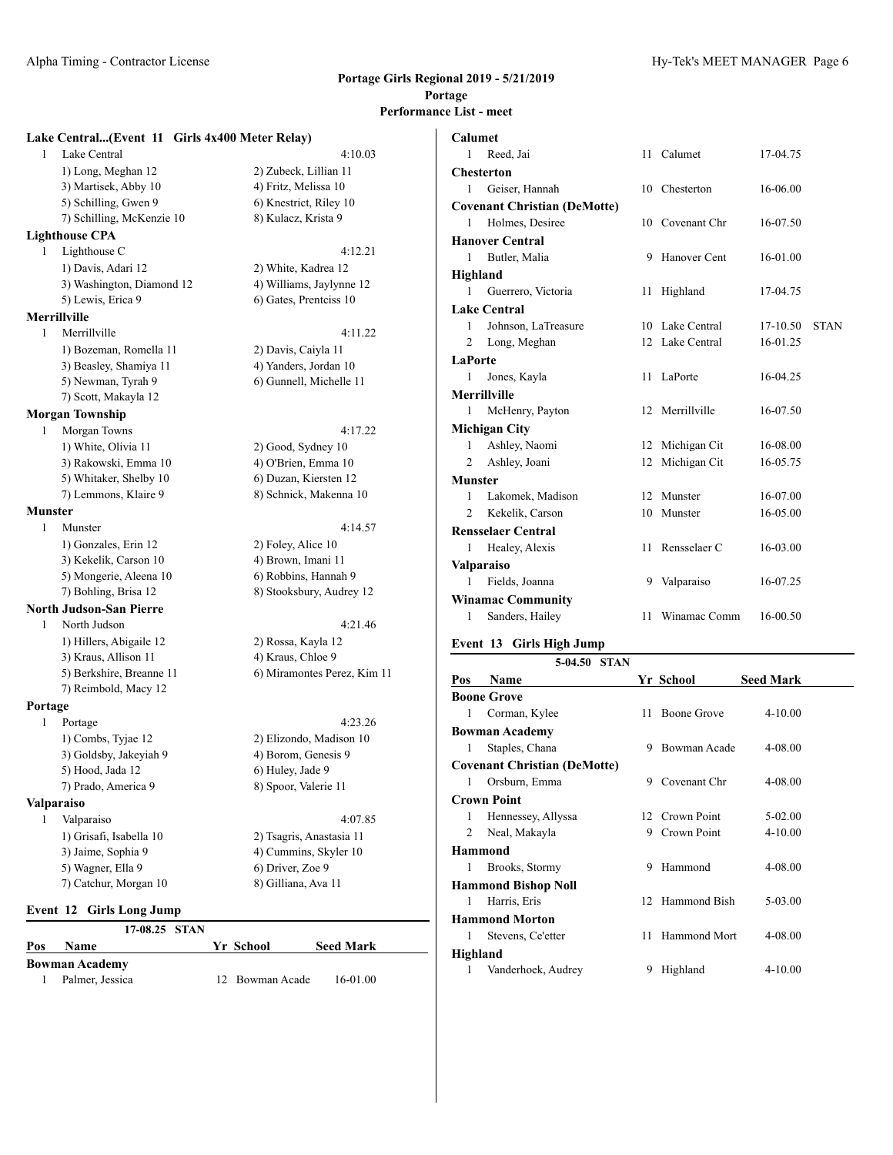#### Alpha Timing - Contractor License https://www.industrial.com/industrial/second-contractor License 6 Alpha Timing - Contractor License 6 Alpha Timing - Contractor License 6 Alpha Timing - Contractor License 6 Alpha Timing -

#### **Portage Girls Regional 2019 - 5/21/2019 Portage Performance List - meet**

#### **Lake Central...(Event 11 Girls 4x400 Meter Relay)**

1 Lake Central 4:10.03 1) Long, Meghan 12 2) Zubeck, Lillian 11 3) Martisek, Abby 10 4) Fritz, Melissa 10 5) Schilling, Gwen 9 6) Knestrict, Riley 10 7) Schilling, McKenzie 10 8) Kulacz, Krista 9 **Lighthouse CPA** 1 Lighthouse C 4:12.21 1) Davis, Adari 12 2) White, Kadrea 12 3) Washington, Diamond 12 4) Williams, Jaylynne 12 5) Lewis, Erica 9 6) Gates, Prentciss 10 **Merrillville** 1 Merrillville 4:11.22 1) Bozeman, Romella 11 2) Davis, Caiyla 11

# 3) Beasley, Shamiya 11 4) Yanders, Jordan 10 5) Newman, Tyrah 9 6) Gunnell, Michelle 11 7) Scott, Makayla 12

#### **Morgan Township**

1 Morgan Towns 4:17.22 1) White, Olivia 11 2) Good, Sydney 10 3) Rakowski, Emma 10 4) O'Brien, Emma 10 5) Whitaker, Shelby 10 6) Duzan, Kiersten 12 7) Lemmons, Klaire 9 8) Schnick, Makenna 10

## **Munster**

1 Munster 4:14.57 1) Gonzales, Erin 12 2) Foley, Alice 10 3) Kekelik, Carson 10 4) Brown, Imani 11 5) Mongerie, Aleena 10 6) Robbins, Hannah 9 7) Bohling, Brisa 12 8) Stooksbury, Audrey 12 **North Judson-San Pierre**

1 North Judson 4:21.46 1) Hillers, Abigaile 12 2) Rossa, Kayla 12 3) Kraus, Allison 11 4) Kraus, Chloe 9 5) Berkshire, Breanne 11 6) Miramontes Perez, Kim 11 7) Reimbold, Macy 12

#### **Portage**

- 1 Portage 4:23.26 1) Combs, Tyjae 12 2) Elizondo, Madison 10 3) Goldsby, Jakeyiah 9 4) Borom, Genesis 9 5) Hood, Jada 12 6) Huley, Jade 9 7) Prado, America 9 8) Spoor, Valerie 11 **Valparaiso** 1 Valparaiso 4:07.85
	- 1) Grisafi, Isabella 10 2) Tsagris, Anastasia 11 3) Jaime, Sophia 9 4) Cummins, Skyler 10 5) Wagner, Ella 9 6) Driver, Zoe 9 7) Catchur, Morgan 10 8) Gilliana, Ava 11

### **Event 12 Girls Long Jump**

|     | 17-08.25 STAN         |                 |                  |
|-----|-----------------------|-----------------|------------------|
| Pos | <b>Name</b>           | Yr School       | <b>Seed Mark</b> |
|     | <b>Bowman Academy</b> |                 |                  |
|     | Palmer, Jessica       | 12 Bowman Acade | 16-01.00         |

| Calumet        |                                     |    |                 |            |             |
|----------------|-------------------------------------|----|-----------------|------------|-------------|
| 1              | Reed, Jai                           |    | 11 Calumet      | 17-04.75   |             |
|                | <b>Chesterton</b>                   |    |                 |            |             |
| 1              | Geiser, Hannah                      |    | 10 Chesterton   | 16-06.00   |             |
|                | <b>Covenant Christian (DeMotte)</b> |    |                 |            |             |
| 1              | Holmes, Desiree                     |    | 10 Covenant Chr | 16-07.50   |             |
|                | <b>Hanover Central</b>              |    |                 |            |             |
| 1              | Butler, Malia                       | 9  | Hanover Cent    | $16-01.00$ |             |
| Highland       |                                     |    |                 |            |             |
| 1              | Guerrero, Victoria                  | 11 | Highland        | 17-04.75   |             |
|                | <b>Lake Central</b>                 |    |                 |            |             |
| 1              | Johnson, LaTreasure                 |    | 10 Lake Central | 17-10.50   | <b>STAN</b> |
| 2              | Long, Meghan                        |    | 12 Lake Central | 16-01.25   |             |
| LaPorte        |                                     |    |                 |            |             |
| 1              | Jones, Kayla                        | 11 | LaPorte         | 16-04.25   |             |
|                | <b>Merrillville</b>                 |    |                 |            |             |
| $\mathbf{1}$   | McHenry, Payton                     |    | 12 Merrillville | 16-07.50   |             |
|                | <b>Michigan City</b>                |    |                 |            |             |
| 1              | Ashley, Naomi                       |    | 12 Michigan Cit | 16-08.00   |             |
| 2              | Ashley, Joani                       | 12 | Michigan Cit    | 16-05.75   |             |
| <b>Munster</b> |                                     |    |                 |            |             |
| 1              | Lakomek, Madison                    |    | 12 Munster      | 16-07.00   |             |
| $\overline{c}$ | Kekelik, Carson                     |    | 10 Munster      | 16-05.00   |             |
|                | <b>Rensselaer Central</b>           |    |                 |            |             |
| 1              | Healey, Alexis                      |    | 11 Rensselaer C | 16-03.00   |             |
|                | <b>Valparaiso</b>                   |    |                 |            |             |
| 1              | Fields, Joanna                      |    | 9 Valparaiso    | 16-07.25   |             |
|                | <b>Winamac Community</b>            |    |                 |            |             |
| 1              | Sanders, Hailey                     | 11 | Winamac Comm    | 16-00.50   |             |
|                |                                     |    |                 |            |             |

#### **Event 13 Girls High Jump**

|                | $5-04.50$<br><b>STAN</b>            |    |                     |                  |
|----------------|-------------------------------------|----|---------------------|------------------|
| Pos            | Name                                |    | Yr School           | <b>Seed Mark</b> |
|                | <b>Boone Grove</b>                  |    |                     |                  |
| 1              | Corman, Kylee                       | 11 | Boone Grove         | 4-10.00          |
|                | <b>Bowman Academy</b>               |    |                     |                  |
| 1              | Staples, Chana                      | 9  | Bowman Acade        | 4-08.00          |
|                | <b>Covenant Christian (DeMotte)</b> |    |                     |                  |
| 1              | Orsburn, Emma                       | 9  | Covenant Chr        | 4-08.00          |
|                | <b>Crown Point</b>                  |    |                     |                  |
| 1              | Hennessey, Allyssa                  |    | 12 Crown Point      | 5-02.00          |
| $\overline{2}$ | Neal, Makayla                       | 9  | Crown Point         | 4-10.00          |
|                | <b>Hammond</b>                      |    |                     |                  |
| 1              | Brooks, Stormy                      | 9  | Hammond             | 4-08.00          |
|                | <b>Hammond Bishop Noll</b>          |    |                     |                  |
| 1              | Harris, Eris                        | 12 | Hammond Bish        | 5-03.00          |
|                | <b>Hammond Morton</b>               |    |                     |                  |
| 1              | Stevens, Ce'etter                   | 11 | <b>Hammond Mort</b> | 4-08.00          |
| Highland       |                                     |    |                     |                  |
| 1              | Vanderhoek, Audrey                  | 9  | Highland            | 4-10.00          |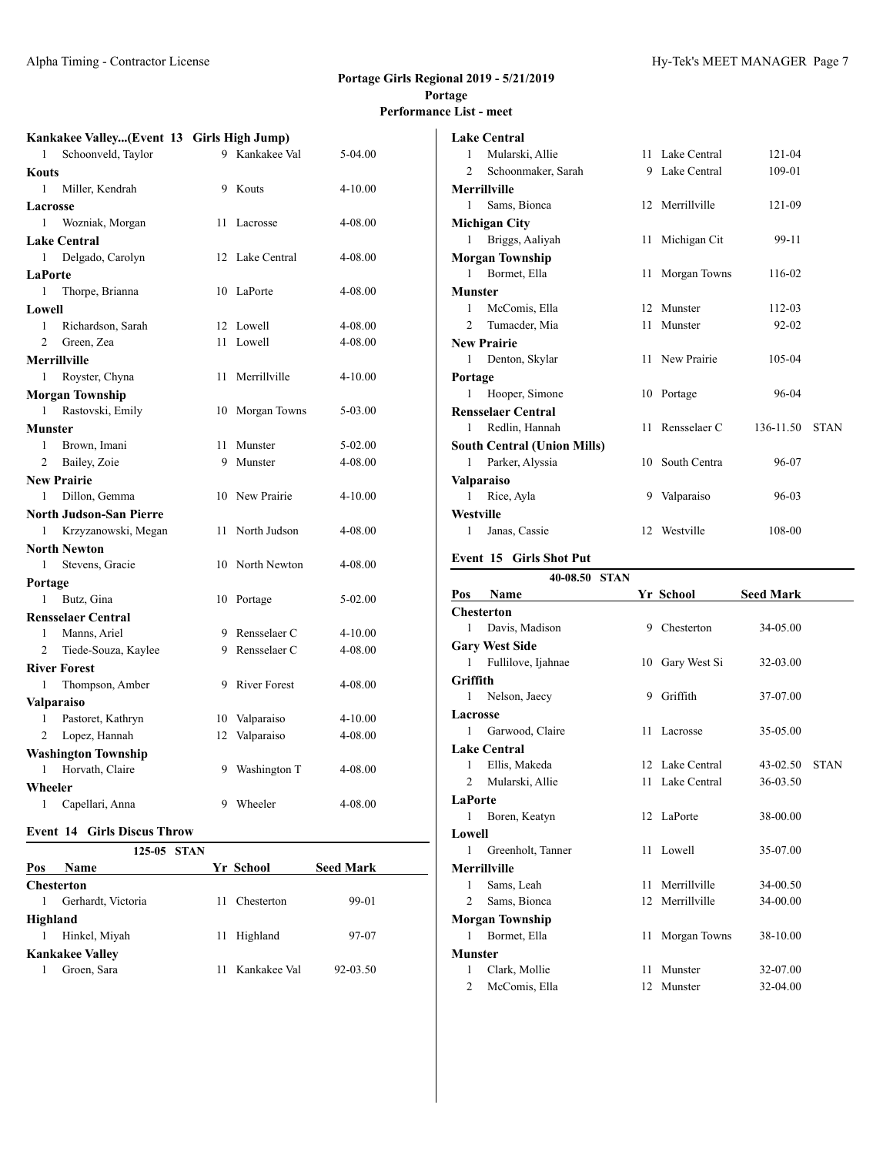# **Lake Central**

|                | Kankakee Valley(Event 13 Girls High Jump) |    |                 |             |
|----------------|-------------------------------------------|----|-----------------|-------------|
| 1              | Schoonveld, Taylor                        |    | 9 Kankakee Val  | 5-04.00     |
| <b>Kouts</b>   |                                           |    |                 |             |
| 1              | Miller, Kendrah                           | 9  | Kouts           | $4 - 10.00$ |
| Lacrosse       |                                           |    |                 |             |
| 1              | Wozniak, Morgan                           | 11 | Lacrosse        | 4-08.00     |
|                | <b>Lake Central</b>                       |    |                 |             |
| 1              | Delgado, Carolyn                          |    | 12 Lake Central | 4-08.00     |
| LaPorte        |                                           |    |                 |             |
| $\mathbf{1}$   | Thorpe, Brianna                           | 10 | LaPorte         | 4-08.00     |
| Lowell         |                                           |    |                 |             |
| 1              | Richardson, Sarah                         |    | 12 Lowell       | 4-08.00     |
| 2              | Green, Zea                                |    | 11 Lowell       | 4-08.00     |
|                | <b>Merrillville</b>                       |    |                 |             |
| 1              | Royster, Chyna                            |    | 11 Merrillville | $4 - 10.00$ |
|                | <b>Morgan Township</b>                    |    |                 |             |
| 1              | Rastovski, Emily                          |    | 10 Morgan Towns | 5-03.00     |
| Munster        |                                           |    |                 |             |
| 1              | Brown, Imani                              |    | 11 Munster      | 5-02.00     |
| $\overline{c}$ | Bailey, Zoie                              |    | 9 Munster       | 4-08.00     |
|                | <b>New Prairie</b>                        |    |                 |             |
| 1              | Dillon, Gemma                             |    | 10 New Prairie  | $4 - 10.00$ |
|                | North Judson-San Pierre                   |    |                 |             |
| 1              | Krzyzanowski, Megan                       | 11 | North Judson    | 4-08.00     |
|                | North Newton                              |    |                 |             |
| 1              | Stevens, Gracie                           |    | 10 North Newton | 4-08.00     |
| Portage        |                                           |    |                 |             |
| 1              | Butz, Gina                                | 10 | Portage         | 5-02.00     |
|                | <b>Rensselaer Central</b>                 |    |                 |             |
| 1              | Manns, Ariel                              |    | 9 Rensselaer C  | $4 - 10.00$ |
| $\overline{c}$ | Tiede-Souza, Kaylee                       |    | 9 Rensselaer C  | 4-08.00     |
|                | <b>River Forest</b>                       |    |                 |             |
| 1              | Thompson, Amber                           |    | 9 River Forest  | 4-08.00     |
|                | Valparaiso                                |    |                 |             |
| 1              | Pastoret, Kathryn                         |    | 10 Valparaiso   | $4 - 10.00$ |
| $\overline{c}$ | Lopez, Hannah                             |    | 12 Valparaiso   | 4-08.00     |
|                | <b>Washington Township</b>                |    |                 |             |
| 1              | Horvath, Claire                           | 9  | Washington T    | 4-08.00     |
| Wheeler        |                                           |    |                 |             |
| 1              | Capellari, Anna                           | 9  | Wheeler         | 4-08.00     |
|                |                                           |    |                 |             |

## **Event 14 Girls Discus Throw**

|     |                        | 125-05 STAN |              |                  |  |
|-----|------------------------|-------------|--------------|------------------|--|
| Pos | Name                   |             | Yr School    | <b>Seed Mark</b> |  |
|     | <b>Chesterton</b>      |             |              |                  |  |
|     | Gerhardt, Victoria     | 11          | Chesterton   | 99-01            |  |
|     | Highland               |             |              |                  |  |
|     | Hinkel, Miyah          | 11          | Highland     | 97-07            |  |
|     | <b>Kankakee Valley</b> |             |              |                  |  |
|     | Groen, Sara            |             | Kankakee Val | 92-03.50         |  |

|                             | Lant Central                       |   |                 |           |             |
|-----------------------------|------------------------------------|---|-----------------|-----------|-------------|
| 1                           | Mularski, Allie                    |   | 11 Lake Central | 121-04    |             |
| 2                           | Schoonmaker, Sarah                 |   | 9 Lake Central  | 109-01    |             |
|                             | <b>Merrillville</b>                |   |                 |           |             |
| 1                           | Sams, Bionca                       |   | 12 Merrillville | 121-09    |             |
|                             | Michigan City                      |   |                 |           |             |
| 1                           | Briggs, Aaliyah                    |   | 11 Michigan Cit | 99-11     |             |
|                             | <b>Morgan Township</b>             |   |                 |           |             |
| 1                           | Bormet, Ella                       |   | 11 Morgan Towns | 116-02    |             |
| <b>Munster</b>              |                                    |   |                 |           |             |
| $\mathbf{1}$                | McComis, Ella                      |   | 12 Munster      | 112-03    |             |
| $\mathcal{D}_{\mathcal{L}}$ | Tumacder, Mia                      |   | 11 Munster      | $92 - 02$ |             |
|                             | <b>New Prairie</b>                 |   |                 |           |             |
| 1                           | Denton, Skylar                     |   | 11 New Prairie  | 105-04    |             |
| Portage                     |                                    |   |                 |           |             |
| 1                           | Hooper, Simone                     |   | 10 Portage      | $96-04$   |             |
|                             | <b>Rensselaer Central</b>          |   |                 |           |             |
| 1                           | Redlin, Hannah                     |   | 11 Rensselaer C | 136-11.50 | <b>STAN</b> |
|                             | <b>South Central (Union Mills)</b> |   |                 |           |             |
| 1                           | Parker, Alyssia                    |   | 10 South Centra | 96-07     |             |
|                             | <b>Valparaiso</b>                  |   |                 |           |             |
| 1                           | Rice, Ayla                         | 9 | Valparaiso      | 96-03     |             |
| Westville                   |                                    |   |                 |           |             |
| 1                           | Janas, Cassie                      |   | 12 Westville    | 108-00    |             |
|                             |                                    |   |                 |           |             |

#### **Event 15 Girls Shot Put**

|                | 40-08.50 STAN         |    |                 |                  |             |
|----------------|-----------------------|----|-----------------|------------------|-------------|
| Pos            | <b>Name</b>           |    | Yr School       | <b>Seed Mark</b> |             |
|                | <b>Chesterton</b>     |    |                 |                  |             |
| 1              | Davis, Madison        |    | 9 Chesterton    | 34-05.00         |             |
|                | <b>Gary West Side</b> |    |                 |                  |             |
| 1              | Fullilove, Ijahnae    |    | 10 Gary West Si | 32-03.00         |             |
| Griffith       |                       |    |                 |                  |             |
| 1              | Nelson, Jaecy         | 9  | Griffith        | 37-07.00         |             |
| Lacrosse       |                       |    |                 |                  |             |
| 1              | Garwood, Claire       |    | 11 Lacrosse     | 35-05.00         |             |
|                | <b>Lake Central</b>   |    |                 |                  |             |
| 1              | Ellis, Makeda         |    | 12 Lake Central | 43-02.50         | <b>STAN</b> |
| $\mathfrak{D}$ | Mularski, Allie       |    | 11 Lake Central | 36-03.50         |             |
| LaPorte        |                       |    |                 |                  |             |
| 1              | Boren, Keatyn         |    | 12 LaPorte      | 38-00.00         |             |
| Lowell         |                       |    |                 |                  |             |
| 1              | Greenholt, Tanner     |    | 11 Lowell       | 35-07.00         |             |
|                | <b>Merrillville</b>   |    |                 |                  |             |
| 1              | Sams, Leah            | 11 | Merrillville    | 34-00.50         |             |
| 2              | Sams, Bionca          | 12 | Merrillville    | 34-00.00         |             |
|                | Morgan Township       |    |                 |                  |             |
| 1              | Bormet, Ella          | 11 | Morgan Towns    | 38-10.00         |             |
| Munster        |                       |    |                 |                  |             |
| 1              | Clark, Mollie         | 11 | Munster         | 32-07.00         |             |
| $\overline{2}$ | McComis, Ella         | 12 | Munster         | 32-04.00         |             |